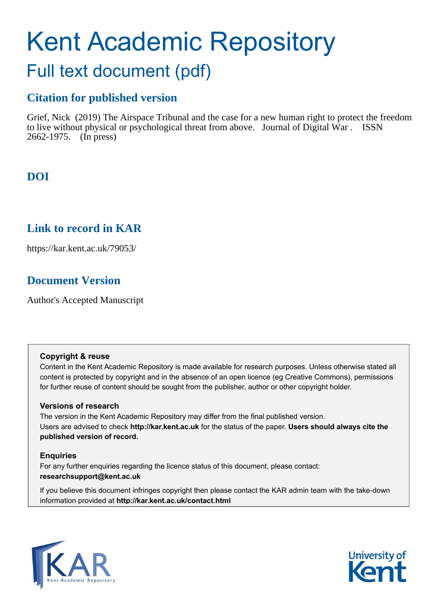# Kent Academic Repository Full text document (pdf)

# **Citation for published version**

Grief, Nick (2019) The Airspace Tribunal and the case for a new human right to protect the freedom to live without physical or psychological threat from above. Journal of Digital War . ISSN 2662-1975. (In press)

## **DOI**

### **Link to record in KAR**

https://kar.kent.ac.uk/79053/

# **Document Version**

Author's Accepted Manuscript

#### **Copyright & reuse**

Content in the Kent Academic Repository is made available for research purposes. Unless otherwise stated all content is protected by copyright and in the absence of an open licence (eg Creative Commons), permissions for further reuse of content should be sought from the publisher, author or other copyright holder.

#### **Versions of research**

The version in the Kent Academic Repository may differ from the final published version. Users are advised to check **http://kar.kent.ac.uk** for the status of the paper. **Users should always cite the published version of record.**

#### **Enquiries**

For any further enquiries regarding the licence status of this document, please contact: **researchsupport@kent.ac.uk**

If you believe this document infringes copyright then please contact the KAR admin team with the take-down information provided at **http://kar.kent.ac.uk/contact.html**



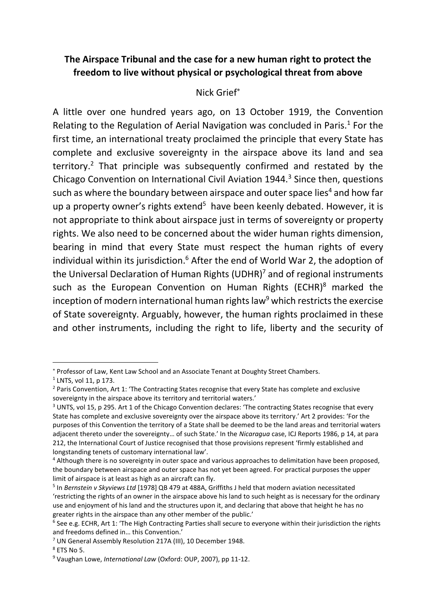#### **The Airspace Tribunal and the case for a new human right to protect the freedom to live without physical or psychological threat from above**

#### Nick Grief

A little over one hundred years ago, on 13 October 1919, the Convention Relating to the Regulation of Aerial Navigation was concluded in Paris. $<sup>1</sup>$  For the</sup> first time, an international treaty proclaimed the principle that every State has complete and exclusive sovereignty in the airspace above its land and sea territory.<sup>2</sup> That principle was subsequently confirmed and restated by the Chicago Convention on International Civil Aviation 1944.<sup>3</sup> Since then, questions such as where the boundary between airspace and outer space lies<sup>4</sup> and how far up a property owner's rights extend<sup>5</sup> have been keenly debated. However, it is not appropriate to think about airspace just in terms of sovereignty or property rights. We also need to be concerned about the wider human rights dimension, bearing in mind that every State must respect the human rights of every individual within its jurisdiction.<sup>6</sup> After the end of World War 2, the adoption of the Universal Declaration of Human Rights (UDHR)<sup>7</sup> and of regional instruments such as the European Convention on Human Rights (ECHR)<sup>8</sup> marked the inception of modern international human rights law<sup>9</sup> which restricts the exercise of State sovereignty. Arguably, however, the human rights proclaimed in these and other instruments, including the right to life, liberty and the security of

Professor of Law, Kent Law School and an Associate Tenant at Doughty Street Chambers.

 $<sup>1</sup>$  LNTS, vol 11, p 173.</sup>

<sup>&</sup>lt;sup>2</sup> Paris Convention, Art 1: 'The Contracting States recognise that every State has complete and exclusive sovereignty in the airspace above its territory and territorial waters.'

<sup>&</sup>lt;sup>3</sup> UNTS, vol 15, p 295. Art 1 of the Chicago Convention declares: 'The contracting States recognise that every State has complete and exclusive sovereignty over the airspace above its territory.' Art 2 provides: 'For the purposes of this Convention the territory of a State shall be deemed to be the land areas and territorial waters adjacent thereto under the sovereignty… of such State.' In the *Nicaragua* case, ICJ Reports 1986, p 14, at para 212, the International Court of Justice recognised that those provisions represent 'firmly established and longstanding tenets of customary international law'.

<sup>4</sup> Although there is no sovereignty in outer space and various approaches to delimitation have been proposed, the boundary between airspace and outer space has not yet been agreed. For practical purposes the upper limit of airspace is at least as high as an aircraft can fly.

<sup>5</sup> In *Bernstein v Skyviews Ltd* [1978] QB 479 at 488A, Griffiths J held that modern aviation necessitated 'restricting the rights of an owner in the airspace above his land to such height as is necessary for the ordinary use and enjoyment of his land and the structures upon it, and declaring that above that height he has no greater rights in the airspace than any other member of the public.'

<sup>&</sup>lt;sup>6</sup> See e.g. ECHR, Art 1: 'The High Contracting Parties shall secure to everyone within their jurisdiction the rights and freedoms defined in… this Convention.'

<sup>7</sup> UN General Assembly Resolution 217A (III), 10 December 1948.

 $8$  ETS No 5.

<sup>9</sup> Vaughan Lowe, *International Law* (Oxford: OUP, 2007), pp 11-12.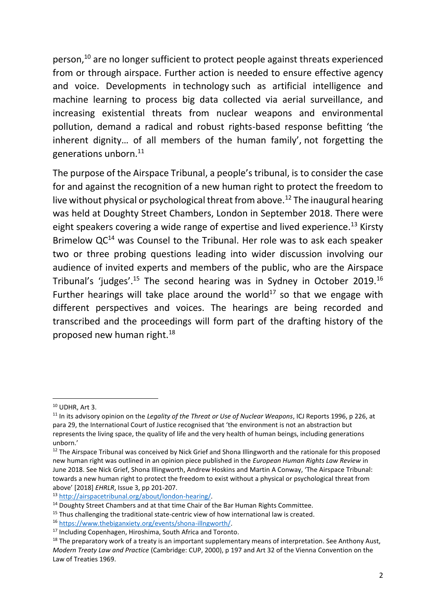person,<sup>10</sup> are no longer sufficient to protect people against threats experienced from or through airspace. Further action is needed to ensure effective agency and voice. Developments in technology such as artificial intelligence and machine learning to process big data collected via aerial surveillance, and increasing existential threats from nuclear weapons and environmental pollution, demand a radical and robust rights-based response befitting 'the inherent dignity… of all members of the human family', not forgetting the generations unborn.<sup>11</sup>

The purpose of the Airspace Tribunal, a people's tribunal, is to consider the case for and against the recognition of a new human right to protect the freedom to live without physical or psychological threat from above.<sup>12</sup> The inaugural hearing was held at Doughty Street Chambers, London in September 2018. There were eight speakers covering a wide range of expertise and lived experience.<sup>13</sup> Kirsty Brimelow QC<sup>14</sup> was Counsel to the Tribunal. Her role was to ask each speaker two or three probing questions leading into wider discussion involving our audience of invited experts and members of the public, who are the Airspace Tribunal's 'judges'.<sup>15</sup> The second hearing was in Sydney in October 2019.<sup>16</sup> Further hearings will take place around the world<sup>17</sup> so that we engage with different perspectives and voices. The hearings are being recorded and transcribed and the proceedings will form part of the drafting history of the proposed new human right.<sup>18</sup>

<sup>13</sup> [http://airspacetribunal.org/about/london-hearing/.](http://airspacetribunal.org/about/london-hearing/)

 $10$  UDHR, Art 3.

<sup>11</sup> In its advisory opinion on the *Legality of the Threat or Use of Nuclear Weapons*, ICJ Reports 1996, p 226, at para 29, the International Court of Justice recognised that 'the environment is not an abstraction but represents the living space, the quality of life and the very health of human beings, including generations unborn.'

<sup>&</sup>lt;sup>12</sup> The Airspace Tribunal was conceived by Nick Grief and Shona Illingworth and the rationale for this proposed new human right was outlined in an opinion piece published in the *European Human Rights Law Review* in June 2018. See Nick Grief, Shona Illingworth, Andrew Hoskins and Martin A Conway, 'The Airspace Tribunal: towards a new human right to protect the freedom to exist without a physical or psychological threat from above' [2018] *EHRLR*, Issue 3, pp 201-207.

<sup>&</sup>lt;sup>14</sup> Doughty Street Chambers and at that time Chair of the Bar Human Rights Committee.

<sup>&</sup>lt;sup>15</sup> Thus challenging the traditional state-centric view of how international law is created.

<sup>16</sup> [https://www.thebiganxiety.org/events/shona-illngworth/.](https://www.thebiganxiety.org/events/shona-illngworth/)

<sup>&</sup>lt;sup>17</sup> Including Copenhagen, Hiroshima, South Africa and Toronto.

<sup>&</sup>lt;sup>18</sup> The preparatory work of a treaty is an important supplementary means of interpretation. See Anthony Aust, *Modern Treaty Law and Practice* (Cambridge: CUP, 2000), p 197 and Art 32 of the Vienna Convention on the Law of Treaties 1969.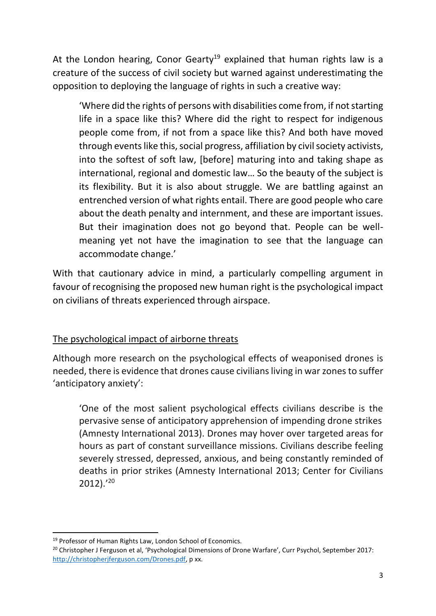At the London hearing, Conor Gearty<sup>19</sup> explained that human rights law is a creature of the success of civil society but warned against underestimating the opposition to deploying the language of rights in such a creative way:

'Where did the rights of persons with disabilities come from, if not starting life in a space like this? Where did the right to respect for indigenous people come from, if not from a space like this? And both have moved through events like this, social progress, affiliation by civil society activists, into the softest of soft law, [before] maturing into and taking shape as international, regional and domestic law… So the beauty of the subject is its flexibility. But it is also about struggle. We are battling against an entrenched version of what rights entail. There are good people who care about the death penalty and internment, and these are important issues. But their imagination does not go beyond that. People can be wellmeaning yet not have the imagination to see that the language can accommodate change.'

With that cautionary advice in mind, a particularly compelling argument in favour of recognising the proposed new human right is the psychological impact on civilians of threats experienced through airspace.

#### The psychological impact of airborne threats

Although more research on the psychological effects of weaponised drones is needed, there is evidence that drones cause civilians living in war zones to suffer 'anticipatory anxiety':

'One of the most salient psychological effects civilians describe is the pervasive sense of anticipatory apprehension of impending drone strikes (Amnesty International 2013). Drones may hover over targeted areas for hours as part of constant surveillance missions. Civilians describe feeling severely stressed, depressed, anxious, and being constantly reminded of deaths in prior strikes (Amnesty International 2013; Center for Civilians 2012).' 20

<sup>&</sup>lt;sup>19</sup> Professor of Human Rights Law, London School of Economics.

<sup>&</sup>lt;sup>20</sup> Christopher J Ferguson et al, 'Psychological Dimensions of Drone Warfare', Curr Psychol, September 2017: [http://christopherjferguson.com/Drones.pdf,](http://christopherjferguson.com/Drones.pdf) p xx.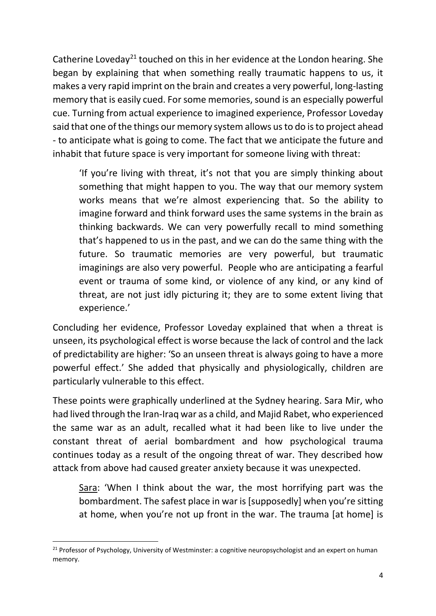Catherine Loveday<sup>21</sup> touched on this in her evidence at the London hearing. She began by explaining that when something really traumatic happens to us, it makes a very rapid imprint on the brain and creates a very powerful, long-lasting memory that is easily cued. For some memories, sound is an especially powerful cue. Turning from actual experience to imagined experience, Professor Loveday said that one of the things our memory system allows us to do is to project ahead - to anticipate what is going to come. The fact that we anticipate the future and inhabit that future space is very important for someone living with threat:

'If you're living with threat, it's not that you are simply thinking about something that might happen to you. The way that our memory system works means that we're almost experiencing that. So the ability to imagine forward and think forward uses the same systems in the brain as thinking backwards. We can very powerfully recall to mind something that's happened to us in the past, and we can do the same thing with the future. So traumatic memories are very powerful, but traumatic imaginings are also very powerful. People who are anticipating a fearful event or trauma of some kind, or violence of any kind, or any kind of threat, are not just idly picturing it; they are to some extent living that experience.'

Concluding her evidence, Professor Loveday explained that when a threat is unseen, its psychological effect is worse because the lack of control and the lack of predictability are higher: 'So an unseen threat is always going to have a more powerful effect.' She added that physically and physiologically, children are particularly vulnerable to this effect.

These points were graphically underlined at the Sydney hearing. Sara Mir, who had lived through the Iran-Iraq war as a child, and Majid Rabet, who experienced the same war as an adult, recalled what it had been like to live under the constant threat of aerial bombardment and how psychological trauma continues today as a result of the ongoing threat of war. They described how attack from above had caused greater anxiety because it was unexpected.

Sara: 'When I think about the war, the most horrifying part was the bombardment. The safest place in war is [supposedly] when you're sitting at home, when you're not up front in the war. The trauma [at home] is

1

<sup>&</sup>lt;sup>21</sup> Professor of Psychology, University of Westminster: a cognitive neuropsychologist and an expert on human memory.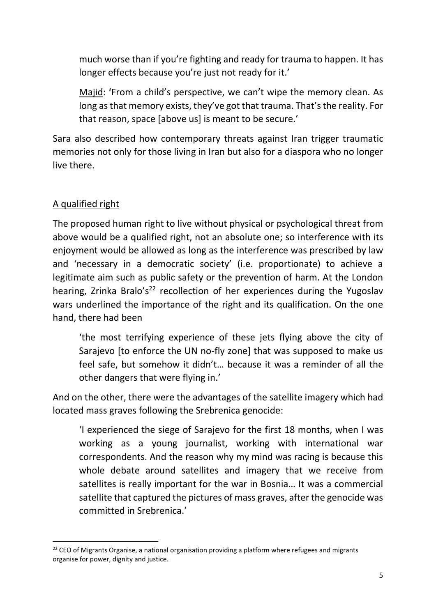much worse than if you're fighting and ready for trauma to happen. It has longer effects because you're just not ready for it.'

Majid: 'From a child's perspective, we can't wipe the memory clean. As long as that memory exists, they've got that trauma. That's the reality. For that reason, space [above us] is meant to be secure.'

Sara also described how contemporary threats against Iran trigger traumatic memories not only for those living in Iran but also for a diaspora who no longer live there.

#### A qualified right

1

The proposed human right to live without physical or psychological threat from above would be a qualified right, not an absolute one; so interference with its enjoyment would be allowed as long as the interference was prescribed by law and 'necessary in a democratic society' (i.e. proportionate) to achieve a legitimate aim such as public safety or the prevention of harm. At the London hearing, Zrinka Bralo's<sup>22</sup> recollection of her experiences during the Yugoslav wars underlined the importance of the right and its qualification. On the one hand, there had been

'the most terrifying experience of these jets flying above the city of Sarajevo [to enforce the UN no-fly zone] that was supposed to make us feel safe, but somehow it didn't… because it was a reminder of all the other dangers that were flying in.'

And on the other, there were the advantages of the satellite imagery which had located mass graves following the Srebrenica genocide:

'I experienced the siege of Sarajevo for the first 18 months, when I was working as a young journalist, working with international war correspondents. And the reason why my mind was racing is because this whole debate around satellites and imagery that we receive from satellites is really important for the war in Bosnia… It was a commercial satellite that captured the pictures of mass graves, after the genocide was committed in Srebrenica.'

 $22$  CEO of Migrants Organise, a national organisation providing a platform where refugees and migrants organise for power, dignity and justice.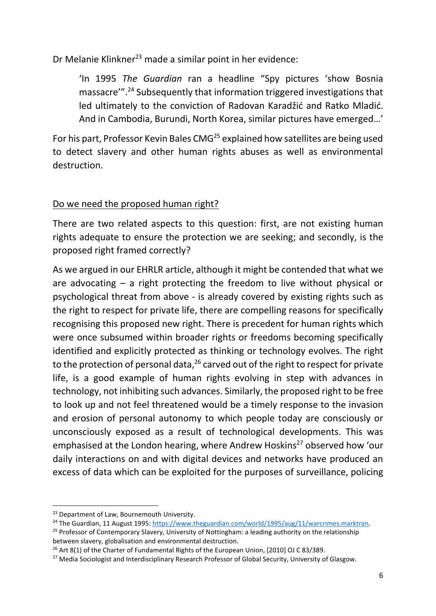Dr Melanie Klinkner<sup>23</sup> made a similar point in her evidence:

'In 1995 *The Guardian* ran a headline "Spy pictures 'show Bosnia massacre'". <sup>24</sup> Subsequently that information triggered investigations that led ultimately to the conviction of Radovan Karadžić and Ratko Mladić. And in Cambodia, Burundi, North Korea, similar pictures have emerged…'

For his part, Professor Kevin Bales CMG<sup>25</sup> explained how satellites are being used to detect slavery and other human rights abuses as well as environmental destruction.

#### Do we need the proposed human right?

There are two related aspects to this question: first, are not existing human rights adequate to ensure the protection we are seeking; and secondly, is the proposed right framed correctly?

As we argued in our EHRLR article, although it might be contended that what we are advocating – a right protecting the freedom to live without physical or psychological threat from above - is already covered by existing rights such as the right to respect for private life, there are compelling reasons for specifically recognising this proposed new right. There is precedent for human rights which were once subsumed within broader rights or freedoms becoming specifically identified and explicitly protected as thinking or technology evolves. The right to the protection of personal data,<sup>26</sup> carved out of the right to respect for private life, is a good example of human rights evolving in step with advances in technology, not inhibiting such advances. Similarly, the proposed right to be free to look up and not feel threatened would be a timely response to the invasion and erosion of personal autonomy to which people today are consciously or unconsciously exposed as a result of technological developments. This was emphasised at the London hearing, where Andrew Hoskins<sup>27</sup> observed how 'our daily interactions on and with digital devices and networks have produced an excess of data which can be exploited for the purposes of surveillance, policing

**<sup>.</sup>** <sup>23</sup> Department of Law, Bournemouth University.

<sup>&</sup>lt;sup>24</sup> The Guardian, 11 August 1995[: https://www.theguardian.com/world/1995/aug/11/warcrimes.marktran.](https://www.theguardian.com/world/1995/aug/11/warcrimes.marktran)

<sup>&</sup>lt;sup>25</sup> Professor of Contemporary Slavery, University of Nottingham: a leading authority on the relationship between slavery, globalisation and environmental destruction.

<sup>&</sup>lt;sup>26</sup> Art 8(1) of the Charter of Fundamental Rights of the European Union, [2010] OJ C 83/389.

<sup>&</sup>lt;sup>27</sup> Media Sociologist and Interdisciplinary Research Professor of Global Security, University of Glasgow.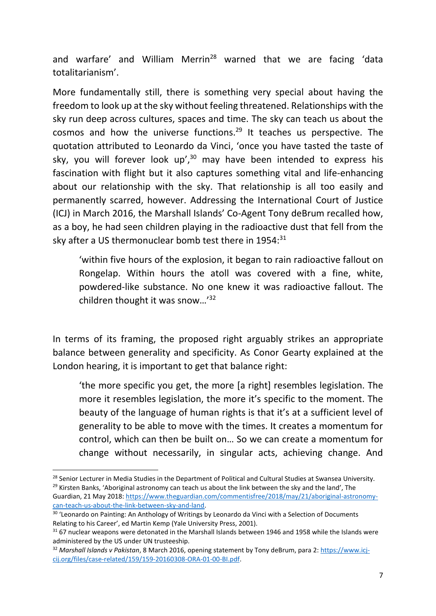and warfare' and William Merrin<sup>28</sup> warned that we are facing 'data totalitarianism'.

More fundamentally still, there is something very special about having the freedom to look up at the sky without feeling threatened. Relationships with the sky run deep across cultures, spaces and time. The sky can teach us about the cosmos and how the universe functions. <sup>29</sup> It teaches us perspective. The quotation attributed to Leonardo da Vinci, 'once you have tasted the taste of sky, you will forever look up',<sup>30</sup> may have been intended to express his fascination with flight but it also captures something vital and life-enhancing about our relationship with the sky. That relationship is all too easily and permanently scarred, however. Addressing the International Court of Justice (ICJ) in March 2016, the Marshall Islands' Co-Agent Tony deBrum recalled how, as a boy, he had seen children playing in the radioactive dust that fell from the sky after a US thermonuclear bomb test there in 1954:<sup>31</sup>

'within five hours of the explosion, it began to rain radioactive fallout on Rongelap. Within hours the atoll was covered with a fine, white, powdered-like substance. No one knew it was radioactive fallout. The children thought it was snow…'<sup>32</sup>

In terms of its framing, the proposed right arguably strikes an appropriate balance between generality and specificity. As Conor Gearty explained at the London hearing, it is important to get that balance right:

'the more specific you get, the more [a right] resembles legislation. The more it resembles legislation, the more it's specific to the moment. The beauty of the language of human rights is that it's at a sufficient level of generality to be able to move with the times. It creates a momentum for control, which can then be built on… So we can create a momentum for change without necessarily, in singular acts, achieving change. And

<sup>1</sup> <sup>28</sup> Senior Lecturer in Media Studies in the Department of Political and Cultural Studies at Swansea University.  $29$  Kirsten Banks, 'Aboriginal astronomy can teach us about the link between the sky and the land', The Guardian, 21 May 2018: [https://www.theguardian.com/commentisfree/2018/may/21/aboriginal-astronomy](https://www.theguardian.com/commentisfree/2018/may/21/aboriginal-astronomy-can-teach-us-about-the-link-between-sky-and-land)[can-teach-us-about-the-link-between-sky-and-land.](https://www.theguardian.com/commentisfree/2018/may/21/aboriginal-astronomy-can-teach-us-about-the-link-between-sky-and-land) 

<sup>&</sup>lt;sup>30</sup> 'Leonardo on Painting: An Anthology of Writings by Leonardo da Vinci with a Selection of Documents Relating to his Career', ed Martin Kemp (Yale University Press, 2001).

<sup>&</sup>lt;sup>31</sup> 67 nuclear weapons were detonated in the Marshall Islands between 1946 and 1958 while the Islands were administered by the US under UN trusteeship.

<sup>32</sup> *Marshall Islands v Pakistan*, 8 March 2016, opening statement by Tony deBrum, para 2: [https://www.icj](https://www.icj-cij.org/files/case-related/159/159-20160308-ORA-01-00-BI.pdf)[cij.org/files/case-related/159/159-20160308-ORA-01-00-BI.pdf.](https://www.icj-cij.org/files/case-related/159/159-20160308-ORA-01-00-BI.pdf)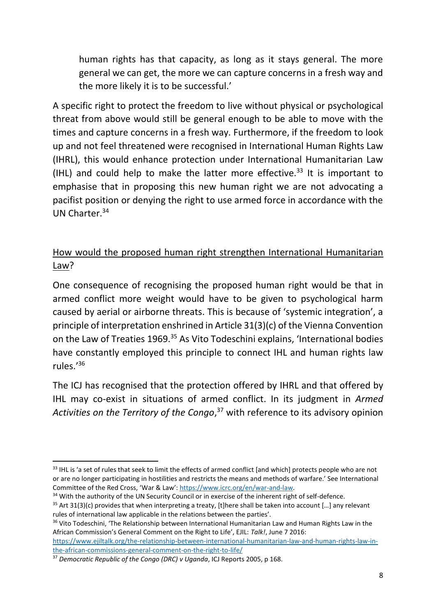human rights has that capacity, as long as it stays general. The more general we can get, the more we can capture concerns in a fresh way and the more likely it is to be successful.'

A specific right to protect the freedom to live without physical or psychological threat from above would still be general enough to be able to move with the times and capture concerns in a fresh way. Furthermore, if the freedom to look up and not feel threatened were recognised in International Human Rights Law (IHRL), this would enhance protection under International Humanitarian Law (IHL) and could help to make the latter more effective.<sup>33</sup> It is important to emphasise that in proposing this new human right we are not advocating a pacifist position or denying the right to use armed force in accordance with the UN Charter<sup>34</sup>

#### How would the proposed human right strengthen International Humanitarian Law?

One consequence of recognising the proposed human right would be that in armed conflict more weight would have to be given to psychological harm caused by aerial or airborne threats. This is because of 'systemic integration', a principle of interpretation enshrined in Article 31(3)(c) of the Vienna Convention on the Law of Treaties 1969.<sup>35</sup> As Vito Todeschini explains, 'International bodies have constantly employed this principle to connect IHL and human rights law rules.' 36

The ICJ has recognised that the protection offered by IHRL and that offered by IHL may co-exist in situations of armed conflict. In its judgment in *Armed Activities on the Territory of the Congo*, <sup>37</sup> with reference to its advisory opinion

 $\overline{a}$ 

<sup>&</sup>lt;sup>33</sup> IHL is 'a set of rules that seek to limit the effects of armed conflict [and which] protects people who are not or are no longer participating in hostilities and restricts the means and methods of warfare.' See International Committee of the Red Cross, 'War & Law': [https://www.icrc.org/en/war-and-law.](https://www.icrc.org/en/war-and-law)

<sup>&</sup>lt;sup>34</sup> With the authority of the UN Security Council or in exercise of the inherent right of self-defence.

 $35$  Art 31(3)(c) provides that when interpreting a treaty, [t]here shall be taken into account [...] any relevant rules of international law applicable in the relations between the parties'.

<sup>&</sup>lt;sup>36</sup> Vito Todeschini, 'The Relationship between International Humanitarian Law and Human Rights Law in the African Commission's General Comment on the Right to Life', EJIL: *Talk!*, June 7 2016:

[https://www.ejiltalk.org/the-relationship-between-international-humanitarian-law-and-human-rights-law-in](https://www.ejiltalk.org/the-relationship-between-international-humanitarian-law-and-human-rights-law-in-the-african-commissions-general-comment-on-the-right-to-life/)[the-african-commissions-general-comment-on-the-right-to-life/](https://www.ejiltalk.org/the-relationship-between-international-humanitarian-law-and-human-rights-law-in-the-african-commissions-general-comment-on-the-right-to-life/)

<sup>37</sup> *Democratic Republic of the Congo (DRC) v Uganda*, ICJ Reports 2005, p 168.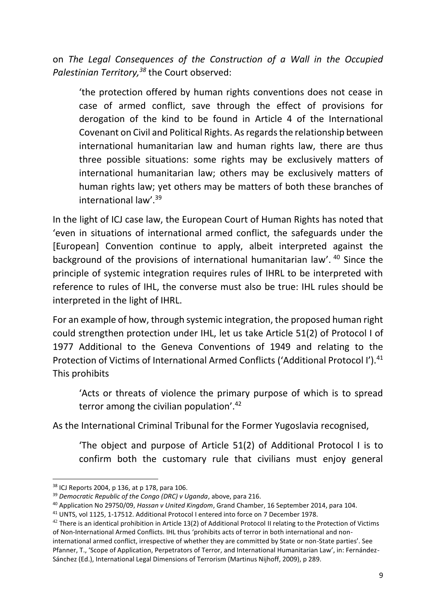on *The Legal Consequences of the Construction of a Wall in the Occupied Palestinian Territory,<sup>38</sup>* the Court observed:

'the protection offered by human rights conventions does not cease in case of armed conflict, save through the effect of provisions for derogation of the kind to be found in Article 4 of the International Covenant on Civil and Political Rights. As regards the relationship between international humanitarian law and human rights law, there are thus three possible situations: some rights may be exclusively matters of international humanitarian law; others may be exclusively matters of human rights law; yet others may be matters of both these branches of international law'. 39

In the light of ICJ case law, the European Court of Human Rights has noted that 'even in situations of international armed conflict, the safeguards under the [European] Convention continue to apply, albeit interpreted against the background of the provisions of international humanitarian law'. <sup>40</sup> Since the principle of systemic integration requires rules of IHRL to be interpreted with reference to rules of IHL, the converse must also be true: IHL rules should be interpreted in the light of IHRL.

For an example of how, through systemic integration, the proposed human right could strengthen protection under IHL, let us take Article 51(2) of Protocol I of 1977 Additional to the Geneva Conventions of 1949 and relating to the Protection of Victims of International Armed Conflicts ('Additional Protocol I').<sup>41</sup> This prohibits

'Acts or threats of violence the primary purpose of which is to spread terror among the civilian population'. 42

As the International Criminal Tribunal for the Former Yugoslavia recognised,

'The object and purpose of Article 51(2) of Additional Protocol I is to confirm both the customary rule that civilians must enjoy general

 $\overline{a}$ 

<sup>38</sup> ICJ Reports 2004, p 136, at p 178, para 106.

<sup>39</sup> *Democratic Republic of the Congo (DRC) v Uganda*, above, para 216.

<sup>40</sup> Application No 29750/09, *Hassan v United Kingdom*, Grand Chamber, 16 September 2014, para 104.

<sup>41</sup> UNTS, vol 1125, 1-17512. Additional Protocol I entered into force on 7 December 1978.

 $42$  There is an identical prohibition in Article 13(2) of Additional Protocol II relating to the Protection of Victims of Non-International Armed Conflicts. IHL thus 'prohibits acts of terror in both international and noninternational armed conflict, irrespective of whether they are committed by State or non-State parties'. See

Pfanner, T., 'Scope of Application, Perpetrators of Terror, and International Humanitarian Law', in: Fernández-Sánchez (Ed.), International Legal Dimensions of Terrorism (Martinus Nijhoff, 2009), p 289.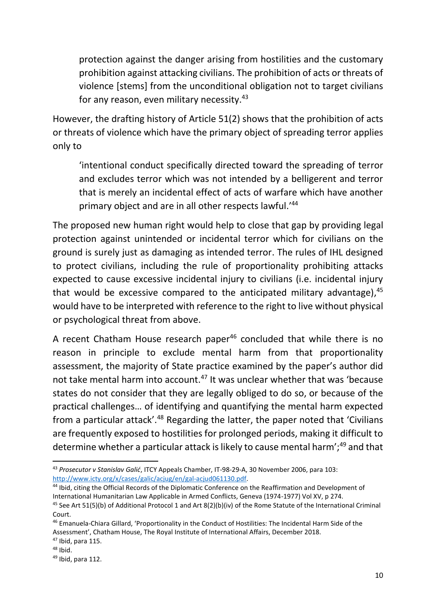protection against the danger arising from hostilities and the customary prohibition against attacking civilians. The prohibition of acts or threats of violence [stems] from the unconditional obligation not to target civilians for any reason, even military necessity. $43$ 

However, the drafting history of Article 51(2) shows that the prohibition of acts or threats of violence which have the primary object of spreading terror applies only to

'intentional conduct specifically directed toward the spreading of terror and excludes terror which was not intended by a belligerent and terror that is merely an incidental effect of acts of warfare which have another primary object and are in all other respects lawful.' 44

The proposed new human right would help to close that gap by providing legal protection against unintended or incidental terror which for civilians on the ground is surely just as damaging as intended terror. The rules of IHL designed to protect civilians, including the rule of proportionality prohibiting attacks expected to cause excessive incidental injury to civilians (i.e. incidental injury that would be excessive compared to the anticipated military advantage), 45 would have to be interpreted with reference to the right to live without physical or psychological threat from above.

A recent Chatham House research paper<sup>46</sup> concluded that while there is no reason in principle to exclude mental harm from that proportionality assessment, the majority of State practice examined by the paper's author did not take mental harm into account.<sup>47</sup> It was unclear whether that was 'because states do not consider that they are legally obliged to do so, or because of the practical challenges… of identifying and quantifying the mental harm expected from a particular attack'.<sup>48</sup> Regarding the latter, the paper noted that 'Civilians are frequently exposed to hostilities for prolonged periods, making it difficult to determine whether a particular attack is likely to cause mental harm';<sup>49</sup> and that

 $\overline{a}$ 

<sup>43</sup> *Prosecutor v Stanislav Galić*, ITCY Appeals Chamber, IT-98-29-A, 30 November 2006, para 103: [http://www.icty.org/x/cases/galic/acjug/en/gal-acjud061130.pdf.](http://www.icty.org/x/cases/galic/acjug/en/gal-acjud061130.pdf)

<sup>44</sup> Ibid, citing the Official Records of the Diplomatic Conference on the Reaffirmation and Development of International Humanitarian Law Applicable in Armed Conflicts, Geneva (1974-1977) Vol XV, p 274.

<sup>&</sup>lt;sup>45</sup> See Art 51(5)(b) of Additional Protocol 1 and Art 8(2)(b)(iv) of the Rome Statute of the International Criminal Court.

<sup>46</sup> Emanuela-Chiara Gillard, 'Proportionality in the Conduct of Hostilities: The Incidental Harm Side of the Assessment', Chatham House, The Royal Institute of International Affairs, December 2018.

<sup>47</sup> Ibid, para 115.

 $48$  Ibid.

 $49$  Ibid, para 112.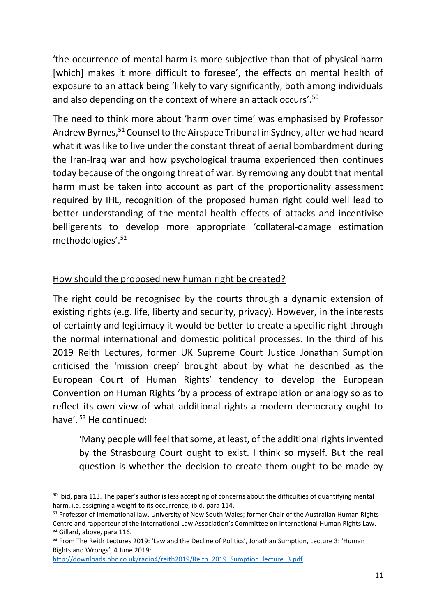'the occurrence of mental harm is more subjective than that of physical harm [which] makes it more difficult to foresee', the effects on mental health of exposure to an attack being 'likely to vary significantly, both among individuals and also depending on the context of where an attack occurs'.<sup>50</sup>

The need to think more about 'harm over time' was emphasised by Professor Andrew Byrnes,<sup>51</sup> Counsel to the Airspace Tribunal in Sydney, after we had heard what it was like to live under the constant threat of aerial bombardment during the Iran-Iraq war and how psychological trauma experienced then continues today because of the ongoing threat of war. By removing any doubt that mental harm must be taken into account as part of the proportionality assessment required by IHL, recognition of the proposed human right could well lead to better understanding of the mental health effects of attacks and incentivise belligerents to develop more appropriate 'collateral-damage estimation methodologies'.<sup>52</sup>

#### How should the proposed new human right be created?

The right could be recognised by the courts through a dynamic extension of existing rights (e.g. life, liberty and security, privacy). However, in the interests of certainty and legitimacy it would be better to create a specific right through the normal international and domestic political processes. In the third of his 2019 Reith Lectures, former UK Supreme Court Justice Jonathan Sumption criticised the 'mission creep' brought about by what he described as the European Court of Human Rights' tendency to develop the European Convention on Human Rights 'by a process of extrapolation or analogy so as to reflect its own view of what additional rights a modern democracy ought to have'. <sup>53</sup> He continued:

'Many people will feel that some, at least, of the additional rights invented by the Strasbourg Court ought to exist. I think so myself. But the real question is whether the decision to create them ought to be made by

[http://downloads.bbc.co.uk/radio4/reith2019/Reith\\_2019\\_Sumption\\_lecture\\_3.pdf.](http://downloads.bbc.co.uk/radio4/reith2019/Reith_2019_Sumption_lecture_3.pdf)

1

 $50$  lbid, para 113. The paper's author is less accepting of concerns about the difficulties of quantifying mental harm, i.e. assigning a weight to its occurrence, ibid, para 114.

<sup>51</sup> Professor of International law, University of New South Wales; former Chair of the Australian Human Rights Centre and rapporteur of the International Law Association's Committee on International Human Rights Law. <sup>52</sup> Gillard, above, para 116.

<sup>&</sup>lt;sup>53</sup> From The Reith Lectures 2019: 'Law and the Decline of Politics', Jonathan Sumption, Lecture 3: 'Human Rights and Wrongs', 4 June 2019: